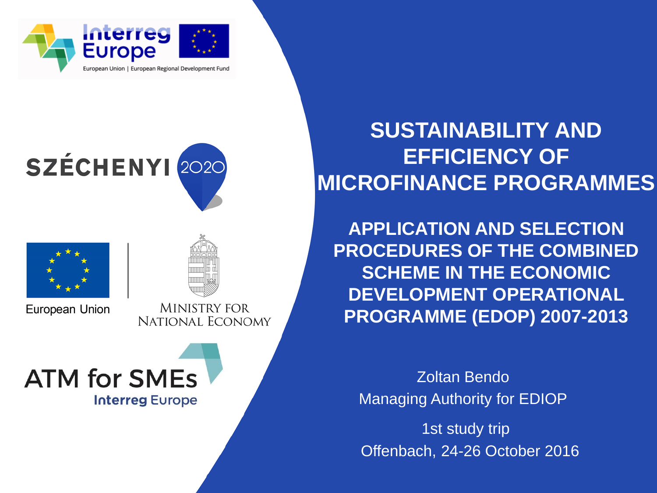





European Union

**MINISTRY FOR** NATIONAL ECONOMY

# **ATM for SMEs Interreg Europe**

## **SUSTAINABILITY AND EFFICIENCY OF MICROFINANCE PROGRAMMES**

**APPLICATION AND SELECTION PROCEDURES OF THE COMBINED SCHEME IN THE ECONOMIC DEVELOPMENT OPERATIONAL PROGRAMME (EDOP) 2007-2013**

Zoltan Bendo Managing Authority for EDIOP

 1st study trip Offenbach, 24-26 October 2016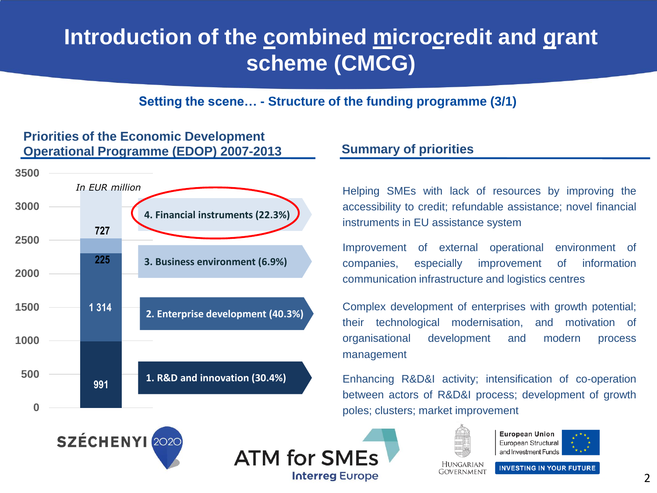## Introduction of the combined microcredit and grant **scheme (CMCG)**

**Setting the scene… - Structure of the funding programme (3/1)**

### **Operational Programme (EDOP) 2007-2013 Summary of priorities 0 500 1000 1500 2000 2500 3000 3500 727 225 1 314 991** *In EUR million* **4. Financial instruments (22.3%) 1. R&D and innovation (30.4%) 2. Enterprise development (40.3%) 3. Business environment (6.9%)**

**Priorities of the Economic Development** 

Helping SMEs with lack of resources by improving the accessibility to credit; refundable assistance; novel financial instruments in EU assistance system

Improvement of external operational environment of companies, especially improvement of information communication infrastructure and logistics centres

Complex development of enterprises with growth potential; their technological modernisation, and motivation of organisational development and modern process management

Enhancing R&D&I activity; intensification of co-operation between actors of R&D&I process; development of growth poles; clusters; market improvement







**European Union** European Structural and Investment Funds



**HUNGARIAN** 

**INVESTING IN YOUR FUTURE**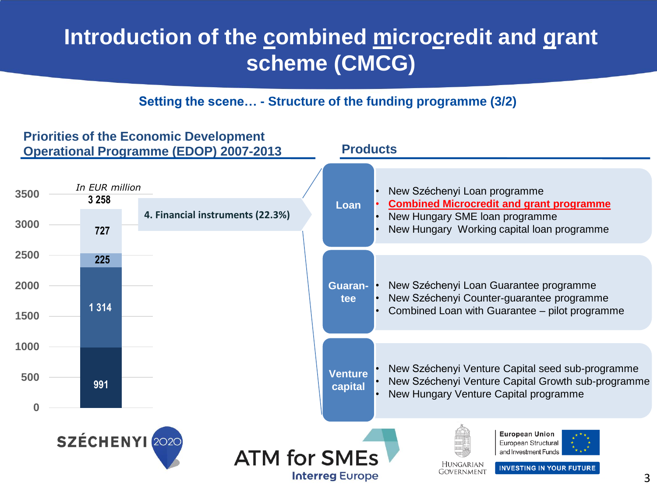## Introduction of the combined microcredit and grant **scheme (CMCG)**

### **Setting the scene… - Structure of the funding programme (3/2)**

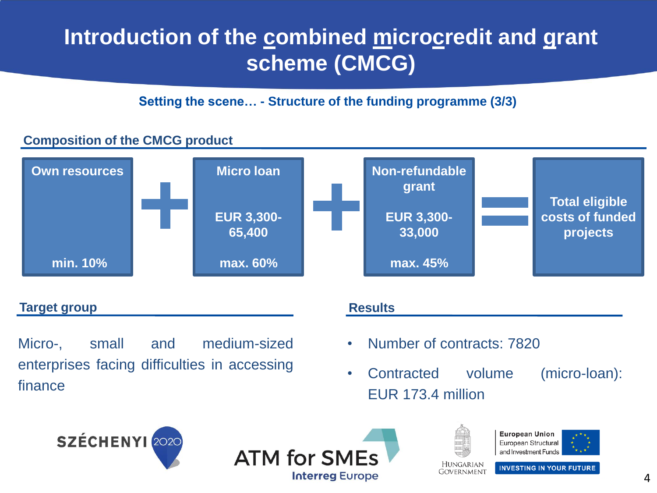## **Introduction of the combined microcredit and grant scheme (CMCG)**

**Setting the scene… - Structure of the funding programme (3/3)**

### **Composition of the CMCG product**



### **Target group**

Micro-, small and medium-sized enterprises facing difficulties in accessing finance

### **Results**

- Number of contracts: 7820
- Contracted volume (micro-loan): EUR 173.4 million







**European Union** European Structural and Investment Funds



**INVESTING IN YOUR FUTURE** Government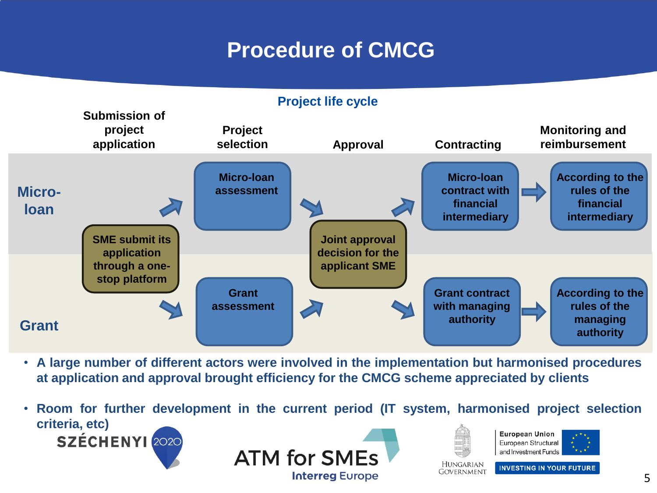## **Procedure of CMCG**

### **Project life cycle Microloan Grant Submission of project application Project selection Approval Contracting Monitoring and reimbursement SME submit its application through a onestop platform Micro-loan assessment Grant assessment Joint approval decision for the applicant SME Micro-loan contract with financial intermediary Grant contract with managing authority According to the rules of the financial intermediary According to the rules of the managing authority**

- **A large number of different actors were involved in the implementation but harmonised procedures at application and approval brought efficiency for the CMCG scheme appreciated by clients**
- **Room for further development in the current period (IT system, harmonised project selection criteria, etc)European Union** SZÉCHENYI 2020 European Structural and Investment Funds **ATM for SMEs HUNGARIAN INVESTING IN YOUR FUTURE** GOVERNMENT **Interreg Europe**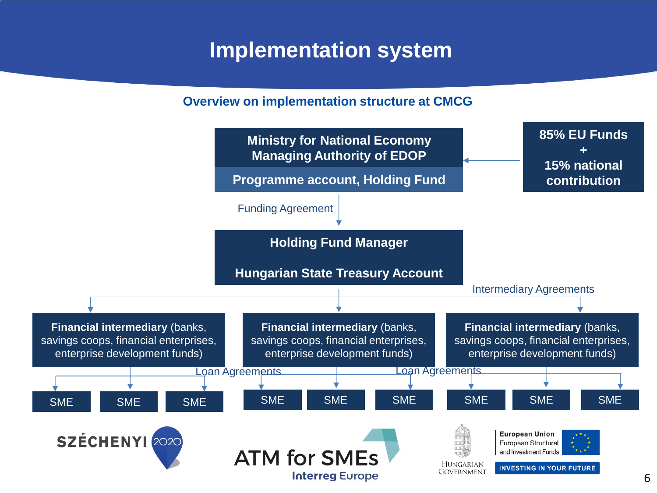## **Implementation system**

### **Overview on implementation structure at CMCG**

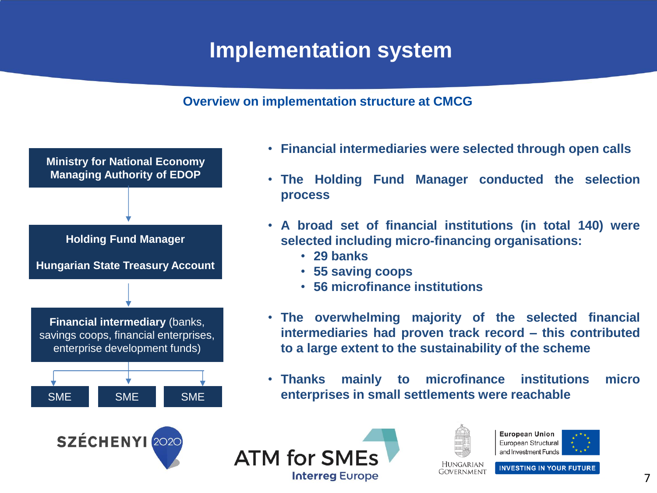## **Implementation system**

### **Overview on implementation structure at CMCG**



- **Financial intermediaries were selected through open calls**
- **The Holding Fund Manager conducted the selection process**
- **A broad set of financial institutions (in total 140) were selected including micro-financing organisations:**
	- **29 banks**
	- **55 saving coops**
	- **56 microfinance institutions**
- **The overwhelming majority of the selected financial intermediaries had proven track record – this contributed to a large extent to the sustainability of the scheme**
- **Thanks mainly to microfinance institutions micro enterprises in small settlements were reachable**





| $\mathcal{A}$<br>ą<br>н |  |
|-------------------------|--|





**INVESTING IN YOUR FUTURE GOVERNMENT**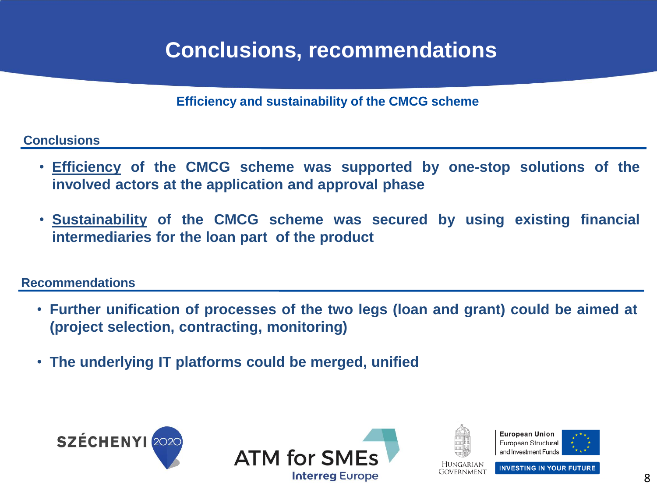## **Conclusions, recommendations**

**Efficiency and sustainability of the CMCG scheme**

### **Conclusions**

- **Efficiency of the CMCG scheme was supported by one-stop solutions of the involved actors at the application and approval phase**
- **Sustainability of the CMCG scheme was secured by using existing financial intermediaries for the loan part of the product**

### **Recommendations**

- **Further unification of processes of the two legs (loan and grant) could be aimed at (project selection, contracting, monitoring)**
- **The underlying IT platforms could be merged, unified**











**INVESTING IN YOUR FUTURE**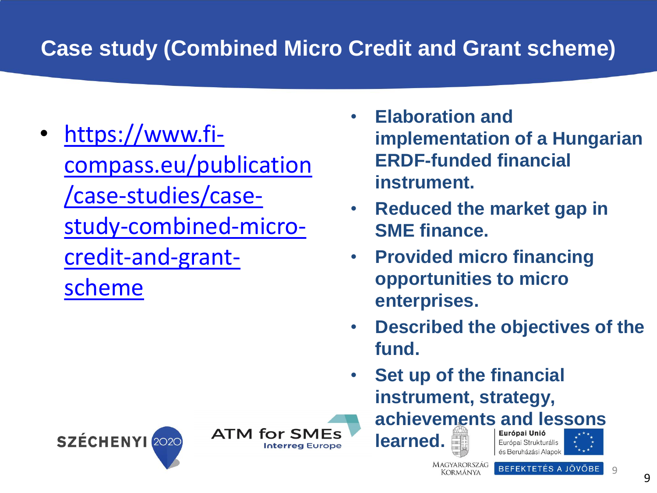# **Case study (Combined Micro Credit and Grant scheme)**

- [https://www.fi](https://www.fi-compass.eu/publication/case-studies/case-study-combined-micro-credit-and-grant-scheme)[compass.eu/publication](https://www.fi-compass.eu/publication/case-studies/case-study-combined-micro-credit-and-grant-scheme) [/case-studies/case](https://www.fi-compass.eu/publication/case-studies/case-study-combined-micro-credit-and-grant-scheme)[study-combined-micro](https://www.fi-compass.eu/publication/case-studies/case-study-combined-micro-credit-and-grant-scheme)[credit-and-grant](https://www.fi-compass.eu/publication/case-studies/case-study-combined-micro-credit-and-grant-scheme)[scheme](https://www.fi-compass.eu/publication/case-studies/case-study-combined-micro-credit-and-grant-scheme)
- **Elaboration and implementation of a Hungarian ERDF-funded financial instrument.**
- **Reduced the market gap in SME finance.**
- **Provided micro financing opportunities to micro enterprises.**
- **Described the objectives of the fund.**
- **Set up of the financial instrument, strategy,**

**learned.**

**MAGYARORSZÁG** BEFEKTETÉS A JÖVŐBE Kormánya

**achievements and lessons** 

Európai Strukturális

és Beruházási Alapok





 $Q$ 

9